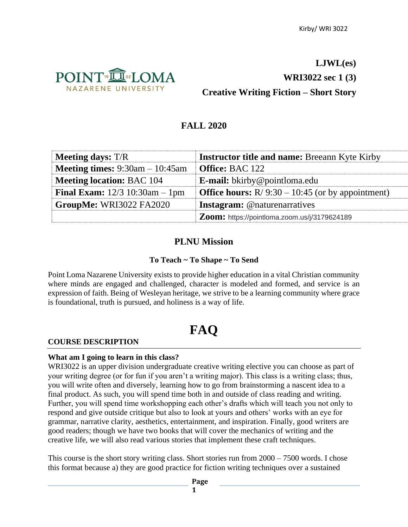

## **LJWL(es) WRI3022 sec 1 (3) Creative Writing Fiction – Short Story**

## **FALL 2020**

| <b>Meeting days:</b> T/R                    | <b>Instructor title and name: Breeann Kyte Kirby</b>      |
|---------------------------------------------|-----------------------------------------------------------|
| <b>Meeting times:</b> $9:30$ am $-10:45$ am | <b>Office: BAC 122</b>                                    |
| <b>Meeting location: BAC 104</b>            | <b>E-mail:</b> bkirby@pointloma.edu                       |
| <b>Final Exam:</b> $12/3$ 10:30am - 1pm     | <b>Office hours:</b> $R/9:30 - 10:45$ (or by appointment) |
| GroupMe: WRI3022 FA2020                     | <b>Instagram:</b> @naturenarratives                       |
|                                             | Zoom: https://pointloma.zoom.us/j/3179624189              |

## **PLNU Mission**

## **To Teach ~ To Shape ~ To Send**

Point Loma Nazarene University exists to provide higher education in a vital Christian community where minds are engaged and challenged, character is modeled and formed, and service is an expression of faith. Being of Wesleyan heritage, we strive to be a learning community where grace is foundational, truth is pursued, and holiness is a way of life.

# **FAQ**

#### **COURSE DESCRIPTION**

#### **What am I going to learn in this class?**

WRI3022 is an upper division undergraduate creative writing elective you can choose as part of your writing degree (or for fun if you aren't a writing major). This class is a writing class; thus, you will write often and diversely, learning how to go from brainstorming a nascent idea to a final product. As such, you will spend time both in and outside of class reading and writing. Further, you will spend time workshopping each other's drafts which will teach you not only to respond and give outside critique but also to look at yours and others' works with an eye for grammar, narrative clarity, aesthetics, entertainment, and inspiration. Finally, good writers are good readers; though we have two books that will cover the mechanics of writing and the creative life, we will also read various stories that implement these craft techniques.

This course is the short story writing class. Short stories run from 2000 – 7500 words. I chose this format because a) they are good practice for fiction writing techniques over a sustained

**Page**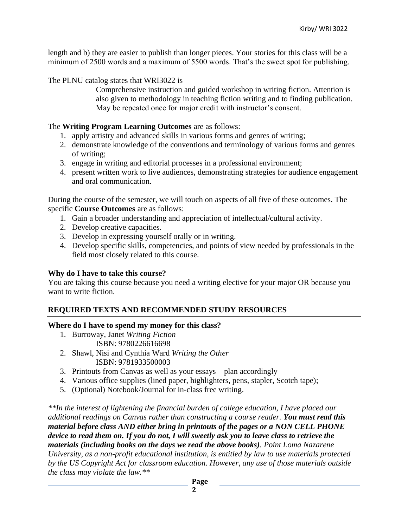length and b) they are easier to publish than longer pieces. Your stories for this class will be a minimum of 2500 words and a maximum of 5500 words. That's the sweet spot for publishing.

The PLNU catalog states that WRI3022 is

Comprehensive instruction and guided workshop in writing fiction. Attention is also given to methodology in teaching fiction writing and to finding publication. May be repeated once for major credit with instructor's consent.

#### The **Writing Program Learning Outcomes** are as follows:

- 1. apply artistry and advanced skills in various forms and genres of writing;
- 2. demonstrate knowledge of the conventions and terminology of various forms and genres of writing;
- 3. engage in writing and editorial processes in a professional environment;
- 4. present written work to live audiences, demonstrating strategies for audience engagement and oral communication.

During the course of the semester, we will touch on aspects of all five of these outcomes. The specific **Course Outcomes** are as follows:

- 1. Gain a broader understanding and appreciation of intellectual/cultural activity.
- 2. Develop creative capacities.
- 3. Develop in expressing yourself orally or in writing.
- 4. Develop specific skills, competencies, and points of view needed by professionals in the field most closely related to this course.

#### **Why do I have to take this course?**

You are taking this course because you need a writing elective for your major OR because you want to write fiction.

## **REQUIRED TEXTS AND RECOMMENDED STUDY RESOURCES**

#### **Where do I have to spend my money for this class?**

- 1. Burroway, Janet *Writing Fiction* ISBN: 9780226616698
- 2. Shawl, Nisi and Cynthia Ward *Writing the Other* ISBN: 9781933500003
- 3. Printouts from Canvas as well as your essays—plan accordingly
- 4. Various office supplies (lined paper, highlighters, pens, stapler, Scotch tape);
- 5. (Optional) Notebook/Journal for in-class free writing.

*\*\*In the interest of lightening the financial burden of college education, I have placed our additional readings on Canvas rather than constructing a course reader. You must read this material before class AND either bring in printouts of the pages or a NON CELL PHONE device to read them on. If you do not, I will sweetly ask you to leave class to retrieve the materials (including books on the days we read the above books). Point Loma Nazarene University, as a non-profit educational institution, is entitled by law to use materials protected by the US Copyright Act for classroom education. However, any use of those materials outside the class may violate the law.\*\**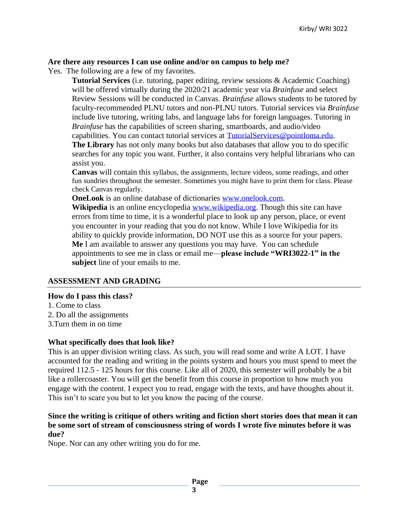#### **Are there any resources I can use online and/or on campus to help me?**

Yes. The following are a few of my favorites.

**Tutorial Services** (i.e. tutoring, paper editing, review sessions & Academic Coaching) will be offered virtually during the 2020/21 academic year via *Brainfuse* and select Review Sessions will be conducted in Canvas. *Brainfuse* allows students to be tutored by faculty-recommended PLNU tutors and non-PLNU tutors. Tutorial services via *Brainfuse* include live tutoring, writing labs, and language labs for foreign languages. Tutoring in *Brainfuse* has the capabilities of screen sharing, smartboards, and audio/video capabilities. You can contact tutorial services at [TutorialServices@pointloma.edu.](mailto:TutorialServices@pointloma.edu)

**The Library** has not only many books but also databases that allow you to do specific searches for any topic you want. Further, it also contains very helpful librarians who can assist you.

**Canvas** will contain this syllabus, the assignments, lecture videos, some readings, and other fun sundries throughout the semester. Sometimes you might have to print them for class. Please check Canvas regularly.

**OneLook** is an online database of dictionaries [www.onelook.com.](http://www.onelook.com/)

**Wikipedia** is an online encyclopedia [www.wikipedia.org.](http://www.wikipedia.org/) Though this site can have errors from time to time, it is a wonderful place to look up any person, place, or event you encounter in your reading that you do not know. While I love Wikipedia for its ability to quickly provide information, DO NOT use this as a source for your papers. **Me** I am available to answer any questions you may have. You can schedule appointments to see me in class or email me—**please include "WRI3022-1" in the subject** line of your emails to me.

#### **ASSESSMENT AND GRADING**

#### **How do I pass this class?**

- 1. Come to class
- 2. Do all the assignments
- 3.Turn them in on time

#### **What specifically does that look like?**

This is an upper division writing class. As such, you will read some and write A LOT. I have accounted for the reading and writing in the points system and hours you must spend to meet the required 112.5 - 125 hours for this course. Like all of 2020, this semester will probably be a bit like a rollercoaster. You will get the benefit from this course in proportion to how much you engage with the content. I expect you to read, engage with the texts, and have thoughts about it. This isn't to scare you but to let you know the pacing of the course.

#### **Since the writing is critique of others writing and fiction short stories does that mean it can be some sort of stream of consciousness string of words I wrote five minutes before it was due?**

Nope. Nor can any other writing you do for me.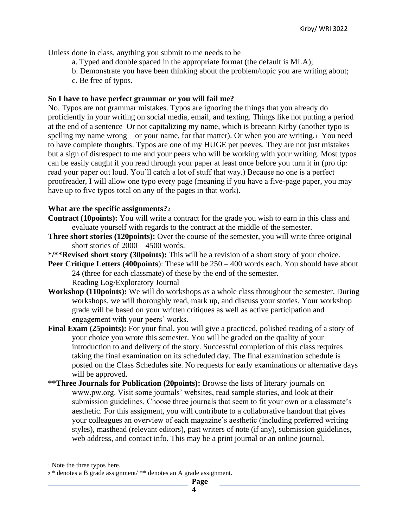Unless done in class, anything you submit to me needs to be

- a. Typed and double spaced in the appropriate format (the default is MLA);
- b. Demonstrate you have been thinking about the problem/topic you are writing about;
- c. Be free of typos.

#### **So I have to have perfect grammar or you will fail me?**

No. Typos are not grammar mistakes. Typos are ignoring the things that you already do proficiently in your writing on social media, email, and texting. Things like not putting a period at the end of a sentence Or not capitalizing my name, which is breeann Kirby (another typo is spelling my name wrong—or your name, for that matter). Or when you are writing.1 You need to have complete thoughts. Typos are one of my HUGE pet peeves. They are not just mistakes but a sign of disrespect to me and your peers who will be working with your writing. Most typos can be easily caught if you read through your paper at least once before you turn it in (pro tip: read your paper out loud. You'll catch a lot of stuff that way.) Because no one is a perfect proofreader, I will allow one typo every page (meaning if you have a five-page paper, you may have up to five typos total on any of the pages in that work).

#### **What are the specific assignments?<sup>2</sup>**

- **Contract (10points):** You will write a contract for the grade you wish to earn in this class and evaluate yourself with regards to the contract at the middle of the semester.
- **Three short stories (120points):** Over the course of the semester, you will write three original short stories of 2000 – 4500 words.
- **\*/\*\*Revised short story (30points):** This will be a revision of a short story of your choice.
- **Peer Critique Letters (400points):** These will be  $250 400$  words each. You should have about 24 (three for each classmate) of these by the end of the semester. Reading Log/Exploratory Journal
- **Workshop (110points):** We will do workshops as a whole class throughout the semester. During workshops, we will thoroughly read, mark up, and discuss your stories. Your workshop grade will be based on your written critiques as well as active participation and engagement with your peers' works.
- **Final Exam (25points):** For your final, you will give a practiced, polished reading of a story of your choice you wrote this semester. You will be graded on the quality of your introduction to and delivery of the story. Successful completion of this class requires taking the final examination on its scheduled day. The final examination schedule is posted on the Class Schedules site. No requests for early examinations or alternative days will be approved.
- **\*\*Three Journals for Publication (20points):** Browse the lists of literary journals on www.pw.org. Visit some journals' websites, read sample stories, and look at their submission guidelines. Choose three journals that seem to fit your own or a classmate's aesthetic. For this assigment, you will contribute to a collaborative handout that gives your colleagues an overview of each magazine's aesthetic (including preferred writing styles), masthead (relevant editors), past writers of note (if any), submission guidelines, web address, and contact info. This may be a print journal or an online journal.

<sup>1</sup> Note the three typos here.

<sup>2</sup> \* denotes a B grade assignment/ \*\* denotes an A grade assignment.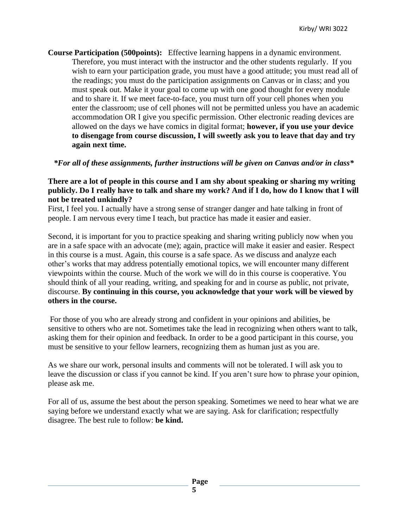**Course Participation (500points):** Effective learning happens in a dynamic environment. Therefore, you must interact with the instructor and the other students regularly. If you wish to earn your participation grade, you must have a good attitude; you must read all of the readings; you must do the participation assignments on Canvas or in class; and you must speak out. Make it your goal to come up with one good thought for every module and to share it. If we meet face-to-face, you must turn off your cell phones when you enter the classroom; use of cell phones will not be permitted unless you have an academic accommodation OR I give you specific permission. Other electronic reading devices are allowed on the days we have comics in digital format; **however, if you use your device to disengage from course discussion, I will sweetly ask you to leave that day and try again next time.**

*\*For all of these assignments, further instructions will be given on Canvas and/or in class\**

#### **There are a lot of people in this course and I am shy about speaking or sharing my writing publicly. Do I really have to talk and share my work? And if I do, how do I know that I will not be treated unkindly?**

First, I feel you. I actually have a strong sense of stranger danger and hate talking in front of people. I am nervous every time I teach, but practice has made it easier and easier.

Second, it is important for you to practice speaking and sharing writing publicly now when you are in a safe space with an advocate (me); again, practice will make it easier and easier. Respect in this course is a must. Again, this course is a safe space. As we discuss and analyze each other's works that may address potentially emotional topics, we will encounter many different viewpoints within the course. Much of the work we will do in this course is cooperative. You should think of all your reading, writing, and speaking for and in course as public, not private, discourse. **By continuing in this course, you acknowledge that your work will be viewed by others in the course.**

For those of you who are already strong and confident in your opinions and abilities, be sensitive to others who are not. Sometimes take the lead in recognizing when others want to talk, asking them for their opinion and feedback. In order to be a good participant in this course, you must be sensitive to your fellow learners, recognizing them as human just as you are.

As we share our work, personal insults and comments will not be tolerated. I will ask you to leave the discussion or class if you cannot be kind. If you aren't sure how to phrase your opinion, please ask me.

For all of us, assume the best about the person speaking. Sometimes we need to hear what we are saying before we understand exactly what we are saying. Ask for clarification; respectfully disagree. The best rule to follow: **be kind.**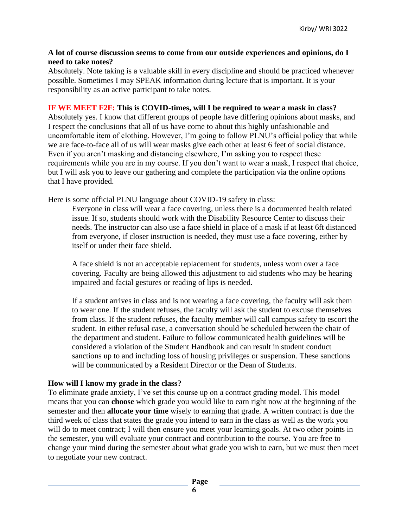#### **A lot of course discussion seems to come from our outside experiences and opinions, do I need to take notes?**

Absolutely. Note taking is a valuable skill in every discipline and should be practiced whenever possible. Sometimes I may SPEAK information during lecture that is important. It is your responsibility as an active participant to take notes.

#### **IF WE MEET F2F: This is COVID-times, will I be required to wear a mask in class?**

Absolutely yes. I know that different groups of people have differing opinions about masks, and I respect the conclusions that all of us have come to about this highly unfashionable and uncomfortable item of clothing. However, I'm going to follow PLNU's official policy that while we are face-to-face all of us will wear masks give each other at least 6 feet of social distance. Even if you aren't masking and distancing elsewhere, I'm asking you to respect these requirements while you are in my course. If you don't want to wear a mask, I respect that choice, but I will ask you to leave our gathering and complete the participation via the online options that I have provided.

Here is some official PLNU language about COVID-19 safety in class:

Everyone in class will wear a face covering, unless there is a documented health related issue. If so, students should work with the Disability Resource Center to discuss their needs. The instructor can also use a face shield in place of a mask if at least 6ft distanced from everyone, if closer instruction is needed, they must use a face covering, either by itself or under their face shield.

A face shield is not an acceptable replacement for students, unless worn over a face covering. Faculty are being allowed this adjustment to aid students who may be hearing impaired and facial gestures or reading of lips is needed.

If a student arrives in class and is not wearing a face covering, the faculty will ask them to wear one. If the student refuses, the faculty will ask the student to excuse themselves from class. If the student refuses, the faculty member will call campus safety to escort the student. In either refusal case, a conversation should be scheduled between the chair of the department and student. Failure to follow communicated health guidelines will be considered a violation of the Student Handbook and can result in student conduct sanctions up to and including loss of housing privileges or suspension. These sanctions will be communicated by a Resident Director or the Dean of Students.

#### **How will I know my grade in the class?**

To eliminate grade anxiety, I've set this course up on a contract grading model. This model means that you can **choose** which grade you would like to earn right now at the beginning of the semester and then **allocate your time** wisely to earning that grade. A written contract is due the third week of class that states the grade you intend to earn in the class as well as the work you will do to meet contract; I will then ensure you meet your learning goals. At two other points in the semester, you will evaluate your contract and contribution to the course. You are free to change your mind during the semester about what grade you wish to earn, but we must then meet to negotiate your new contract.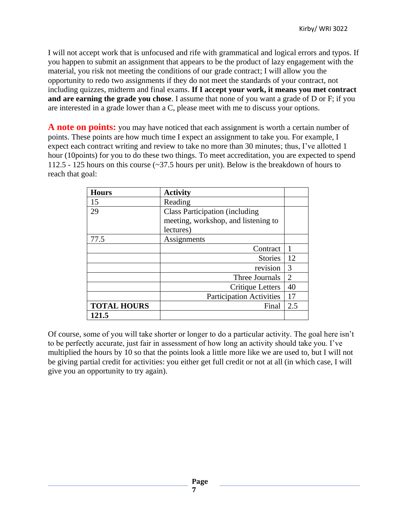I will not accept work that is unfocused and rife with grammatical and logical errors and typos. If you happen to submit an assignment that appears to be the product of lazy engagement with the material, you risk not meeting the conditions of our grade contract; I will allow you the opportunity to redo two assignments if they do not meet the standards of your contract, not including quizzes, midterm and final exams. **If I accept your work, it means you met contract and are earning the grade you chose**. I assume that none of you want a grade of D or F; if you are interested in a grade lower than a C, please meet with me to discuss your options.

**A note on points:** you may have noticed that each assignment is worth a certain number of points. These points are how much time I expect an assignment to take you. For example, I expect each contract writing and review to take no more than 30 minutes; thus, I've allotted 1 hour (10points) for you to do these two things. To meet accreditation, you are expected to spend 112.5 - 125 hours on this course (~37.5 hours per unit). Below is the breakdown of hours to reach that goal:

| <b>Hours</b>       | <b>Activity</b>                       |                |
|--------------------|---------------------------------------|----------------|
| 15                 | Reading                               |                |
| 29                 | <b>Class Participation (including</b> |                |
|                    | meeting, workshop, and listening to   |                |
|                    | lectures)                             |                |
| 77.5               | Assignments                           |                |
|                    | Contract                              |                |
|                    | <b>Stories</b>                        | 12             |
|                    | revision                              | 3              |
|                    | Three Journals                        | $\overline{2}$ |
|                    | Critique Letters                      | 40             |
|                    | <b>Participation Activities</b>       | 17             |
| <b>TOTAL HOURS</b> | Final                                 | 2.5            |
| 121.5              |                                       |                |

Of course, some of you will take shorter or longer to do a particular activity. The goal here isn't to be perfectly accurate, just fair in assessment of how long an activity should take you. I've multiplied the hours by 10 so that the points look a little more like we are used to, but I will not be giving partial credit for activities: you either get full credit or not at all (in which case, I will give you an opportunity to try again).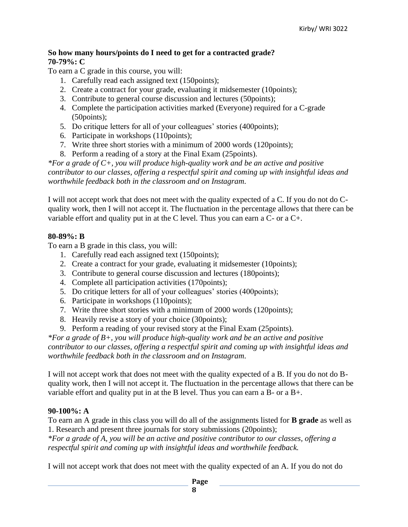#### **So how many hours/points do I need to get for a contracted grade? 70-79%: C**

To earn a C grade in this course, you will:

- 1. Carefully read each assigned text (150points);
- 2. Create a contract for your grade, evaluating it midsemester (10points);
- 3. Contribute to general course discussion and lectures (50points);
- 4. Complete the participation activities marked (Everyone) required for a C-grade (50points);
- 5. Do critique letters for all of your colleagues' stories (400points);
- 6. Participate in workshops (110points);
- 7. Write three short stories with a minimum of 2000 words (120points);
- 8. Perform a reading of a story at the Final Exam (25points).

*\*For a grade of C+, you will produce high-quality work and be an active and positive contributor to our classes, offering a respectful spirit and coming up with insightful ideas and worthwhile feedback both in the classroom and on Instagram.*

I will not accept work that does not meet with the quality expected of a C. If you do not do Cquality work, then I will not accept it. The fluctuation in the percentage allows that there can be variable effort and quality put in at the C level. Thus you can earn a C- or a C+.

#### **80-89%: B**

To earn a B grade in this class, you will:

- 1. Carefully read each assigned text (150points);
- 2. Create a contract for your grade, evaluating it midsemester (10points);
- 3. Contribute to general course discussion and lectures (180points);
- 4. Complete all participation activities (170points);
- 5. Do critique letters for all of your colleagues' stories (400points);
- 6. Participate in workshops (110points);
- 7. Write three short stories with a minimum of 2000 words (120points);
- 8. Heavily revise a story of your choice (30points);
- 9. Perform a reading of your revised story at the Final Exam (25points).

*\*For a grade of B+, you will produce high-quality work and be an active and positive contributor to our classes, offering a respectful spirit and coming up with insightful ideas and worthwhile feedback both in the classroom and on Instagram.*

I will not accept work that does not meet with the quality expected of a B. If you do not do Bquality work, then I will not accept it. The fluctuation in the percentage allows that there can be variable effort and quality put in at the B level. Thus you can earn a B- or a B+.

#### **90-100%: A**

To earn an A grade in this class you will do all of the assignments listed for **B grade** as well as 1. Research and present three journals for story submissions (20points);

*\*For a grade of A, you will be an active and positive contributor to our classes, offering a respectful spirit and coming up with insightful ideas and worthwhile feedback.*

I will not accept work that does not meet with the quality expected of an A. If you do not do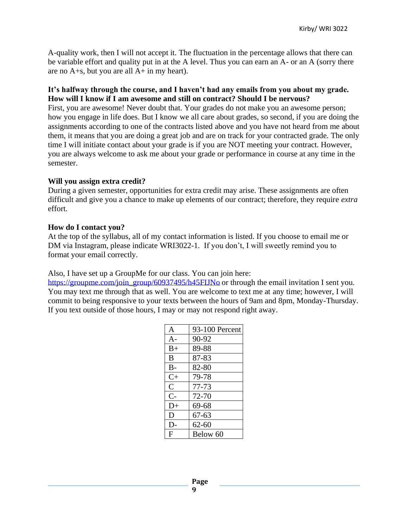A-quality work, then I will not accept it. The fluctuation in the percentage allows that there can be variable effort and quality put in at the A level. Thus you can earn an A- or an A (sorry there are no A+s, but you are all A+ in my heart).

#### **It's halfway through the course, and I haven't had any emails from you about my grade. How will I know if I am awesome and still on contract? Should I be nervous?**

First, you are awesome! Never doubt that. Your grades do not make you an awesome person; how you engage in life does. But I know we all care about grades, so second, if you are doing the assignments according to one of the contracts listed above and you have not heard from me about them, it means that you are doing a great job and are on track for your contracted grade. The only time I will initiate contact about your grade is if you are NOT meeting your contract. However, you are always welcome to ask me about your grade or performance in course at any time in the semester.

#### **Will you assign extra credit?**

During a given semester, opportunities for extra credit may arise. These assignments are often difficult and give you a chance to make up elements of our contract; therefore, they require *extra*  effort.

#### **How do I contact you?**

At the top of the syllabus, all of my contact information is listed. If you choose to email me or DM via Instagram, please indicate WRI3022-1. If you don't, I will sweetly remind you to format your email correctly.

Also, I have set up a GroupMe for our class. You can join here:

[https://groupme.com/join\\_group/60937495/h45FIJNo](https://groupme.com/join_group/60937495/h45FIJNo) or through the email invitation I sent you. You may text me through that as well. You are welcome to text me at any time; however, I will commit to being responsive to your texts between the hours of 9am and 8pm, Monday-Thursday. If you text outside of those hours, I may or may not respond right away.

| $\mathsf{A}$  | 93-100 Percent |
|---------------|----------------|
| $A -$         | 90-92          |
| $B+$          | 89-88          |
| B             | 87-83          |
| $B -$         | 82-80          |
| $C+$          | 79-78          |
| $\mathcal{C}$ | 77-73          |
| $C-$          | 72-70          |
| $D+$          | 69-68          |
| D             | $67 - 63$      |
| D-            | $62 - 60$      |
| F             | Below 60       |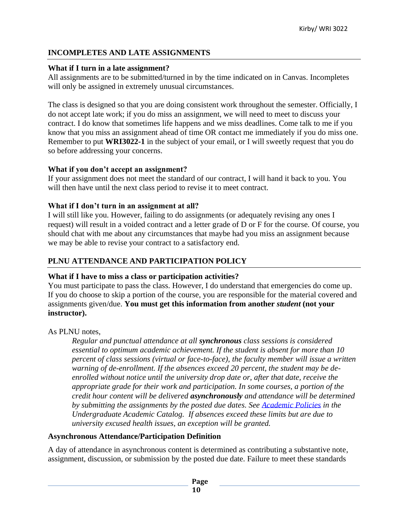## **INCOMPLETES AND LATE ASSIGNMENTS**

#### **What if I turn in a late assignment?**

All assignments are to be submitted/turned in by the time indicated on in Canvas. Incompletes will only be assigned in extremely unusual circumstances.

The class is designed so that you are doing consistent work throughout the semester. Officially, I do not accept late work; if you do miss an assignment, we will need to meet to discuss your contract. I do know that sometimes life happens and we miss deadlines. Come talk to me if you know that you miss an assignment ahead of time OR contact me immediately if you do miss one. Remember to put **WRI3022-1** in the subject of your email, or I will sweetly request that you do so before addressing your concerns.

#### **What if you don't accept an assignment?**

If your assignment does not meet the standard of our contract, I will hand it back to you. You will then have until the next class period to revise it to meet contract.

#### **What if I don't turn in an assignment at all?**

I will still like you. However, failing to do assignments (or adequately revising any ones I request) will result in a voided contract and a letter grade of D or F for the course. Of course, you should chat with me about any circumstances that maybe had you miss an assignment because we may be able to revise your contract to a satisfactory end.

## **PLNU ATTENDANCE AND PARTICIPATION POLICY**

#### **What if I have to miss a class or participation activities?**

You must participate to pass the class. However, I do understand that emergencies do come up. If you do choose to skip a portion of the course, you are responsible for the material covered and assignments given/due. **You must get this information from another** *student* **(not your instructor).** 

As PLNU notes,

*Regular and punctual attendance at all synchronous class sessions is considered essential to optimum academic achievement. If the student is absent for more than 10 percent of class sessions (virtual or face-to-face), the faculty member will issue a written warning of de-enrollment. If the absences exceed 20 percent, the student may be deenrolled without notice until the university drop date or, after that date, receive the appropriate grade for their work and participation. In some courses, a portion of the credit hour content will be delivered asynchronously and attendance will be determined by submitting the assignments by the posted due dates. See [Academic Policies](https://catalog.pointloma.edu/content.php?catoid=46&navoid=2650#Class_Attendance) in the Undergraduate Academic Catalog. If absences exceed these limits but are due to university excused health issues, an exception will be granted.*

#### **Asynchronous Attendance/Participation Definition**

A day of attendance in asynchronous content is determined as contributing a substantive note, assignment, discussion, or submission by the posted due date. Failure to meet these standards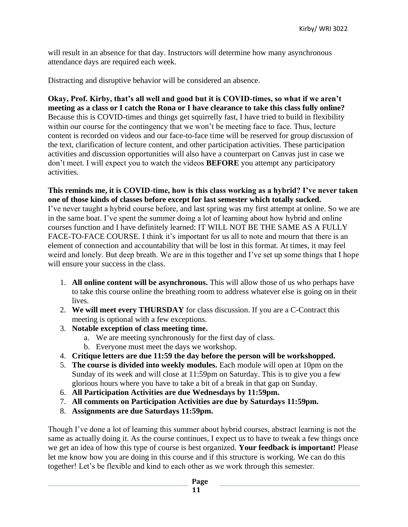will result in an absence for that day. Instructors will determine how many asynchronous attendance days are required each week.

Distracting and disruptive behavior will be considered an absence.

**Okay, Prof. Kirby, that's all well and good but it is COVID-times, so what if we aren't meeting as a class or I catch the Rona or I have clearance to take this class fully online?** Because this is COVID-times and things get squirrelly fast, I have tried to build in flexibility within our course for the contingency that we won't be meeting face to face. Thus, lecture content is recorded on videos and our face-to-face time will be reserved for group discussion of the text, clarification of lecture content, and other participation activities. These participation activities and discussion opportunities will also have a counterpart on Canvas just in case we don't meet. I will expect you to watch the videos **BEFORE** you attempt any participatory activities.

#### **This reminds me, it is COVID-time, how is this class working as a hybrid? I've never taken one of those kinds of classes before except for last semester which totally sucked.**

I've never taught a hybrid course before, and last spring was my first attempt at online. So we are in the same boat. I've spent the summer doing a lot of learning about how hybrid and online courses function and I have definitely learned: IT WILL NOT BE THE SAME AS A FULLY FACE-TO-FACE COURSE. I think it's important for us all to note and mourn that there is an element of connection and accountability that will be lost in this format. At times, it may feel weird and lonely. But deep breath. We are in this together and I've set up some things that I hope will ensure your success in the class.

- 1. **All online content will be asynchronous.** This will allow those of us who perhaps have to take this course online the breathing room to address whatever else is going on in their lives.
- 2. **We will meet every THURSDAY** for class discussion. If you are a C-Contract this meeting is optional with a few exceptions.
- 3. **Notable exception of class meeting time.** 
	- a. We are meeting synchronously for the first day of class.
	- b. Everyone must meet the days we workshop.
- 4. **Critique letters are due 11:59 the day before the person will be workshopped.**
- 5. **The course is divided into weekly modules.** Each module will open at 10pm on the Sunday of its week and will close at 11:59pm on Saturday. This is to give you a few glorious hours where you have to take a bit of a break in that gap on Sunday.
- 6. **All Participation Activities are due Wednesdays by 11:59pm.**
- 7. **All comments on Participation Activities are due by Saturdays 11:59pm.**
- 8. **Assignments are due Saturdays 11:59pm.**

Though I've done a lot of learning this summer about hybrid courses, abstract learning is not the same as actually doing it. As the course continues, I expect us to have to tweak a few things once we get an idea of how this type of course is best organized. **Your feedback is important!** Please let me know how you are doing in this course and if this structure is working. We can do this together! Let's be flexible and kind to each other as we work through this semester.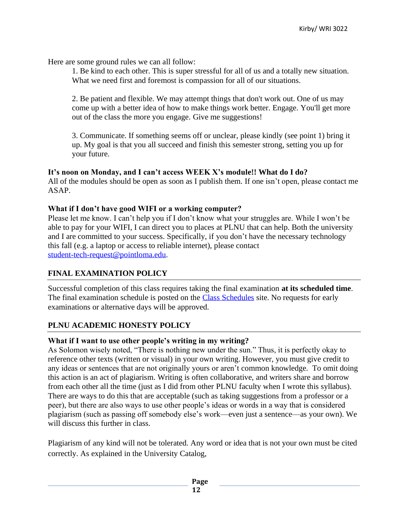Here are some ground rules we can all follow:

1. Be kind to each other. This is super stressful for all of us and a totally new situation. What we need first and foremost is compassion for all of our situations.

2. Be patient and flexible. We may attempt things that don't work out. One of us may come up with a better idea of how to make things work better. Engage. You'll get more out of the class the more you engage. Give me suggestions!

3. Communicate. If something seems off or unclear, please kindly (see point 1) bring it up. My goal is that you all succeed and finish this semester strong, setting you up for your future.

#### **It's noon on Monday, and I can't access WEEK X's module!! What do I do?**

All of the modules should be open as soon as I publish them. If one isn't open, please contact me ASAP.

#### **What if I don't have good WIFI or a working computer?**

Please let me know. I can't help you if I don't know what your struggles are. While I won't be able to pay for your WIFI, I can direct you to places at PLNU that can help. Both the university and I are committed to your success. Specifically, if you don't have the necessary technology this fall (e.g. a laptop or access to reliable internet), please contact [student-tech-request@pointloma.edu.](mailto:student-tech-request@pointloma.edu)

#### **FINAL EXAMINATION POLICY**

Successful completion of this class requires taking the final examination **at its scheduled time**. The final examination schedule is posted on the [Class Schedules](http://www.pointloma.edu/experience/academics/class-schedules) site. No requests for early examinations or alternative days will be approved.

## **PLNU ACADEMIC HONESTY POLICY**

#### **What if I want to use other people's writing in my writing?**

As Solomon wisely noted, "There is nothing new under the sun." Thus, it is perfectly okay to reference other texts (written or visual) in your own writing. However, you must give credit to any ideas or sentences that are not originally yours or aren't common knowledge. To omit doing this action is an act of plagiarism. Writing is often collaborative, and writers share and borrow from each other all the time (just as I did from other PLNU faculty when I wrote this syllabus). There are ways to do this that are acceptable (such as taking suggestions from a professor or a peer), but there are also ways to use other people's ideas or words in a way that is considered plagiarism (such as passing off somebody else's work—even just a sentence—as your own). We will discuss this further in class.

Plagiarism of any kind will not be tolerated. Any word or idea that is not your own must be cited correctly. As explained in the University Catalog,